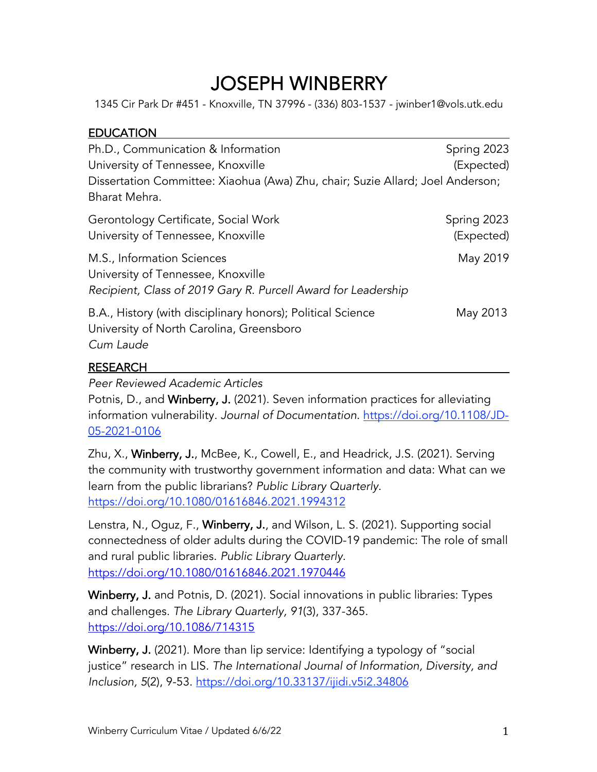$JOSEPH WINEERY$ <br>1345 Cir Park Dr #451 - Knoxville, TN 37996 - (336) 803-1537 - jwinber1@vols.utk.edu

# **EDUCATION**

| Ph.D., Communication & Information<br>University of Tennessee, Knoxville<br>Dissertation Committee: Xiaohua (Awa) Zhu, chair; Suzie Allard; Joel Anderson;<br>Bharat Mehra. | Spring 2023<br>(Expected) |
|-----------------------------------------------------------------------------------------------------------------------------------------------------------------------------|---------------------------|
| Gerontology Certificate, Social Work<br>University of Tennessee, Knoxville                                                                                                  | Spring 2023<br>(Expected) |
| M.S., Information Sciences<br>University of Tennessee, Knoxville<br>Recipient, Class of 2019 Gary R. Purcell Award for Leadership                                           | May 2019                  |
| B.A., History (with disciplinary honors); Political Science<br>University of North Carolina, Greensboro<br>Cum Laude                                                        | May 2013                  |

## RESEARCH

*Peer Reviewed Academic Articles*

Potnis, D., and Winberry, J. (2021). Seven information practices for alleviating information vulnerability. *Journal of Documentation*. https://doi.org/10.1108/JD-05-2021-0106

Zhu, X., Winberry, J., McBee, K., Cowell, E., and Headrick, J.S. (2021). Serving the community with trustworthy government information and data: What can we learn from the public librarians? *Public Library Quarterly*. https://doi.org/10.1080/01616846.2021.1994312

Lenstra, N., Oguz, F., Winberry, J., and Wilson, L. S. (2021). Supporting social connectedness of older adults during the COVID-19 pandemic: The role of small and rural public libraries. *Public Library Quarterly.* https://doi.org/10.1080/01616846.2021.1970446

Winberry, J. and Potnis, D. (2021). Social innovations in public libraries: Types and challenges. *The Library Quarterly, 91*(3), 337-365. https://doi.org/10.1086/714315

Winberry, J. (2021). More than lip service: Identifying a typology of "social justice" research in LIS. *The International Journal of Information, Diversity, and Inclusion, 5*(2), 9-53. https://doi.org/10.33137/ijidi.v5i2.34806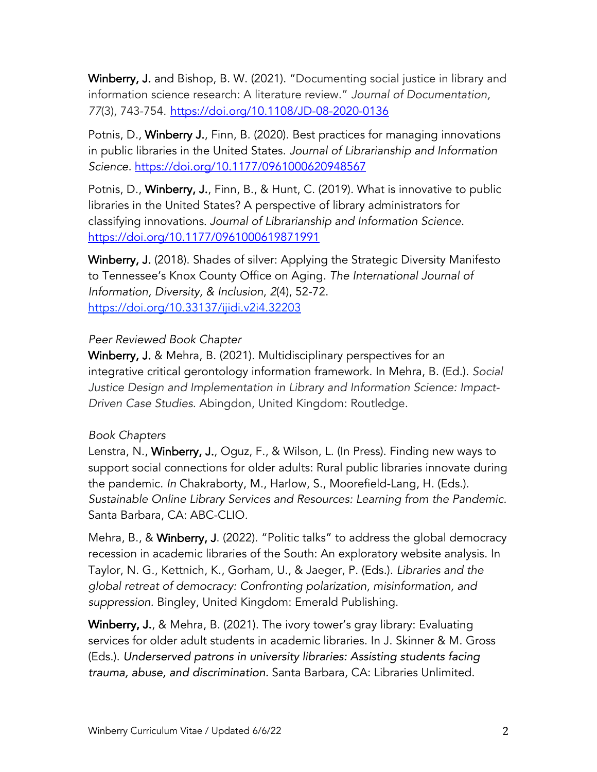Winberry, J. and Bishop, B. W. (2021). "Documenting social justice in library and information science research: A literature review." *Journal of Documentation, 77*(3), 743-754*.* https://doi.org/10.1108/JD-08-2020-0136

Potnis, D., Winberry J., Finn, B. (2020). Best practices for managing innovations in public libraries in the United States. *Journal of Librarianship and Information Science.* https://doi.org/10.1177/0961000620948567

Potnis, D., Winberry, J., Finn, B., & Hunt, C. (2019). What is innovative to public libraries in the United States? A perspective of library administrators for classifying innovations. *Journal of Librarianship and Information Science.*  https://doi.org/10.1177/0961000619871991

Winberry, J. (2018). Shades of silver: Applying the Strategic Diversity Manifesto to Tennessee's Knox County Office on Aging. *The International Journal of Information, Diversity, & Inclusion*, *2*(4), 52-72. https://doi.org/10.33137/ijidi.v2i4.32203

## *Peer Reviewed Book Chapter*

Winberry, J. & Mehra, B. (2021). Multidisciplinary perspectives for an integrative critical gerontology information framework. In Mehra, B. (Ed.). *Social Justice Design and Implementation in Library and Information Science: Impact-Driven Case Studies.* Abingdon, United Kingdom: Routledge.

## *Book Chapters*

Lenstra, N., Winberry, J., Oguz, F., & Wilson, L. (In Press). Finding new ways to support social connections for older adults: Rural public libraries innovate during the pandemic. *In* Chakraborty, M., Harlow, S., Moorefield-Lang, H. (Eds.). *Sustainable Online Library Services and Resources: Learning from the Pandemic*. Santa Barbara, CA: ABC-CLIO.

Mehra, B., & Winberry, J. (2022). "Politic talks" to address the global democracy recession in academic libraries of the South: An exploratory website analysis. In Taylor, N. G., Kettnich, K., Gorham, U., & Jaeger, P. (Eds.). *Libraries and the global retreat of democracy: Confronting polarization, misinformation, and suppression.* Bingley, United Kingdom: Emerald Publishing.

Winberry, J., & Mehra, B. (2021). The ivory tower's gray library: Evaluating services for older adult students in academic libraries. In J. Skinner & M. Gross (Eds.). *Underserved patrons in university libraries: Assisting students facing trauma, abuse, and discrimination.* Santa Barbara, CA: Libraries Unlimited.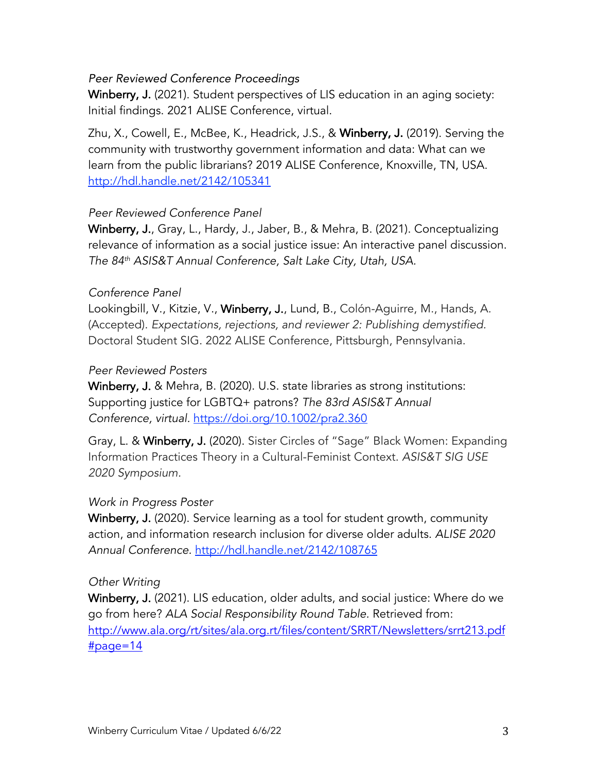## *Peer Reviewed Conference Proceedings*

Winberry, J. (2021). Student perspectives of LIS education in an aging society: Initial findings. 2021 ALISE Conference, virtual.

Zhu, X., Cowell, E., McBee, K., Headrick, J.S., & Winberry, J. (2019). Serving the community with trustworthy government information and data: What can we learn from the public librarians? 2019 ALISE Conference, Knoxville, TN, USA. http://hdl.handle.net/2142/105341

## *Peer Reviewed Conference Panel*

Winberry, J., Gray, L., Hardy, J., Jaber, B., & Mehra, B. (2021). Conceptualizing relevance of information as a social justice issue: An interactive panel discussion. *The 84th ASIS&T Annual Conference, Salt Lake City, Utah, USA.*

## *Conference Panel*

Lookingbill, V., Kitzie, V., Winberry, J., Lund, B., Colón-Aguirre, M., Hands, A. (Accepted). *Expectations, rejections, and reviewer 2: Publishing demystified.* Doctoral Student SIG. 2022 ALISE Conference, Pittsburgh, Pennsylvania.

## *Peer Reviewed Posters*

Winberry, J. & Mehra, B. (2020). U.S. state libraries as strong institutions: Supporting justice for LGBTQ+ patrons? *The 83rd ASIS&T Annual Conference, virtual.* https://doi.org/10.1002/pra2.360

Gray, L. & Winberry, J. (2020). Sister Circles of "Sage" Black Women: Expanding Information Practices Theory in a Cultural-Feminist Context. *ASIS&T SIG USE 2020 Symposium.* 

## *Work in Progress Poster*

Winberry, J. (2020). Service learning as a tool for student growth, community action, and information research inclusion for diverse older adults. *ALISE 2020 Annual Conference.* http://hdl.handle.net/2142/108765

## *Other Writing*

Winberry, J. (2021). LIS education, older adults, and social justice: Where do we go from here? *ALA Social Responsibility Round Table.* Retrieved from: http://www.ala.org/rt/sites/ala.org.rt/files/content/SRRT/Newsletters/srrt213.pdf #page=14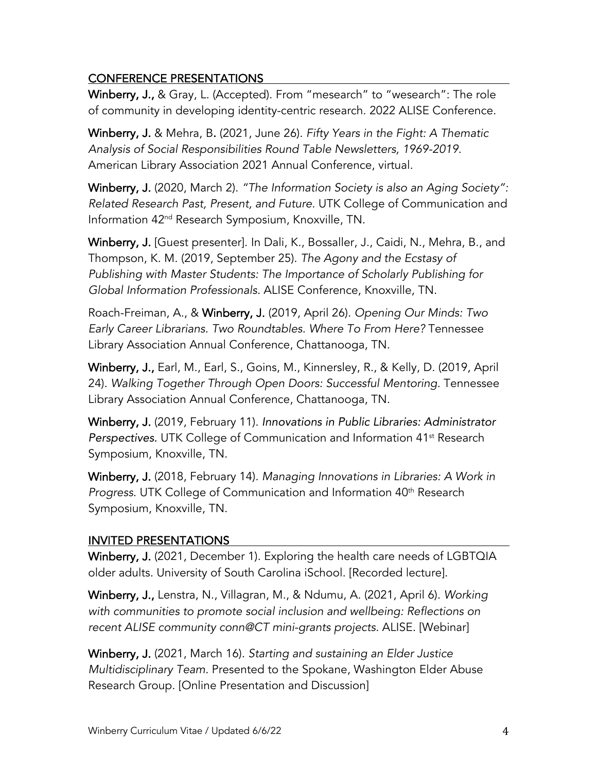# CONFERENCE PRESENTATIONS

Winberry, J., & Gray, L. (Accepted). From "mesearch" to "wesearch": The role of community in developing identity-centric research. 2022 ALISE Conference.

Winberry, J. & Mehra, B. (2021, June 26). *Fifty Years in the Fight: A Thematic Analysis of Social Responsibilities Round Table Newsletters, 1969-2019*. American Library Association 2021 Annual Conference, virtual.

Winberry, J. (2020, March 2). *"The Information Society is also an Aging Society": Related Research Past, Present, and Future.* UTK College of Communication and Information 42nd Research Symposium, Knoxville, TN.

Winberry, J. [Guest presenter]. In Dali, K., Bossaller, J., Caidi, N., Mehra, B., and Thompson, K. M. (2019, September 25). *The Agony and the Ecstasy of Publishing with Master Students: The Importance of Scholarly Publishing for Global Information Professionals.* ALISE Conference, Knoxville, TN.

Roach-Freiman, A., & Winberry, J. (2019, April 26). *Opening Our Minds: Two Early Career Librarians. Two Roundtables. Where To From Here?* Tennessee Library Association Annual Conference, Chattanooga, TN.

Winberry, J., Earl, M., Earl, S., Goins, M., Kinnersley, R., & Kelly, D. (2019, April 24). *Walking Together Through Open Doors: Successful Mentoring.* Tennessee Library Association Annual Conference, Chattanooga, TN.

Winberry, J. (2019, February 11). *Innovations in Public Libraries: Administrator Perspectives.* UTK College of Communication and Information 41st Research Symposium, Knoxville, TN.

Winberry, J. (2018, February 14). *Managing Innovations in Libraries: A Work in Progress*. UTK College of Communication and Information 40<sup>th</sup> Research Symposium, Knoxville, TN.

# INVITED PRESENTATIONS

Winberry, J. (2021, December 1). Exploring the health care needs of LGBTQIA older adults. University of South Carolina iSchool. [Recorded lecture].

Winberry, J., Lenstra, N., Villagran, M., & Ndumu, A. (2021, April 6). *Working with communities to promote social inclusion and wellbeing: Reflections on recent ALISE community conn@CT mini-grants projects.* ALISE. [Webinar]

Winberry, J. (2021, March 16). *Starting and sustaining an Elder Justice Multidisciplinary Team.* Presented to the Spokane, Washington Elder Abuse Research Group. [Online Presentation and Discussion]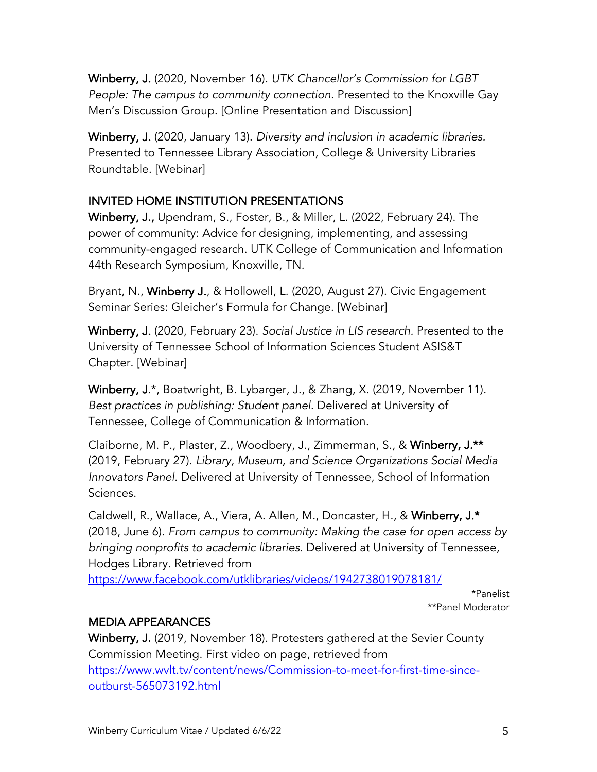Winberry, J. (2020, November 16). *UTK Chancellor's Commission for LGBT People: The campus to community connection.* Presented to the Knoxville Gay Men's Discussion Group. [Online Presentation and Discussion]

Winberry, J. (2020, January 13). *Diversity and inclusion in academic libraries.* Presented to Tennessee Library Association, College & University Libraries Roundtable. [Webinar]

# INVITED HOME INSTITUTION PRESENTATIONS

Winberry, J., Upendram, S., Foster, B., & Miller, L. (2022, February 24). The power of community: Advice for designing, implementing, and assessing community-engaged research. UTK College of Communication and Information 44th Research Symposium, Knoxville, TN.

Bryant, N., Winberry J., & Hollowell, L. (2020, August 27). Civic Engagement Seminar Series: Gleicher's Formula for Change. [Webinar]

Winberry, J. (2020, February 23). *Social Justice in LIS research.* Presented to the University of Tennessee School of Information Sciences Student ASIS&T Chapter. [Webinar]

Winberry, J.\*, Boatwright, B. Lybarger, J., & Zhang, X. (2019, November 11). *Best practices in publishing: Student panel.* Delivered at University of Tennessee, College of Communication & Information.

Claiborne, M. P., Plaster, Z., Woodbery, J., Zimmerman, S., & Winberry, J.\*\* (2019, February 27). *Library, Museum, and Science Organizations Social Media Innovators Panel*. Delivered at University of Tennessee, School of Information Sciences.

Caldwell, R., Wallace, A., Viera, A. Allen, M., Doncaster, H., & Winberry, J.\* (2018, June 6). *From campus to community: Making the case for open access by bringing nonprofits to academic libraries.* Delivered at University of Tennessee, Hodges Library. Retrieved from

https://www.facebook.com/utklibraries/videos/1942738019078181/

\*Panelist \*\*Panel Moderator

# MEDIA APPEARANCES

Winberry, J. (2019, November 18). Protesters gathered at the Sevier County Commission Meeting. First video on page, retrieved from https://www.wvlt.tv/content/news/Commission-to-meet-for-first-time-sinceoutburst-565073192.html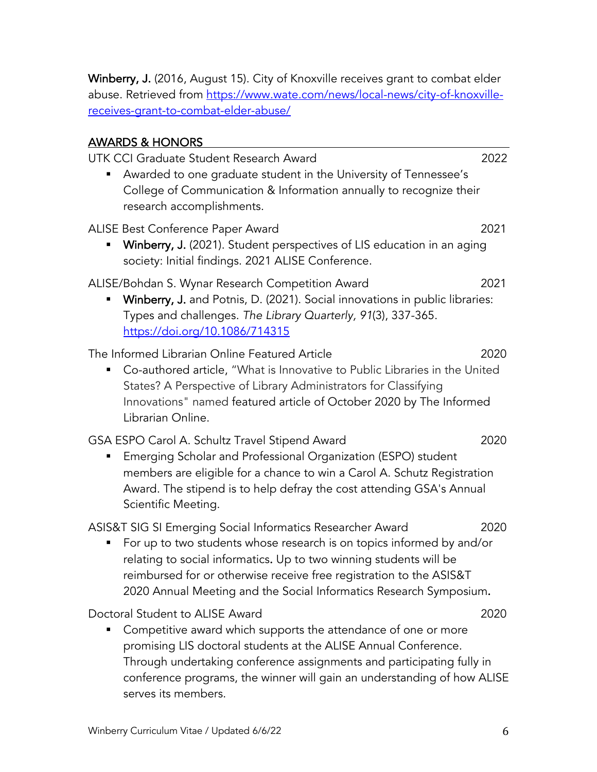Winberry, J. (2016, August 15). City of Knoxville receives grant to combat elder abuse. Retrieved from https://www.wate.com/news/local-news/city-of-knoxvillereceives-grant-to-combat-elder-abuse/

## AWARDS & HONORS

UTK CCI Graduate Student Research Award 2022

■ Awarded to one graduate student in the University of Tennessee's College of Communication & Information annually to recognize their research accomplishments.

ALISE Best Conference Paper Award 2021

**Winberry, J.** (2021). Student perspectives of LIS education in an aging society: Initial findings. 2021 ALISE Conference.

## ALISE/Bohdan S. Wynar Research Competition Award 2021

**Winberry, J.** and Potnis, D. (2021). Social innovations in public libraries: Types and challenges. *The Library Quarterly, 91*(3), 337-365. https://doi.org/10.1086/714315

The Informed Librarian Online Featured Article 2020

■ Co-authored article, "What is Innovative to Public Libraries in the United States? A Perspective of Library Administrators for Classifying Innovations" named featured article of October 2020 by The Informed Librarian Online.

## GSA ESPO Carol A. Schultz Travel Stipend Award 2020

■ Emerging Scholar and Professional Organization (ESPO) student members are eligible for a chance to win a Carol A. Schutz Registration Award. The stipend is to help defray the cost attending GSA's Annual Scientific Meeting.

ASIS&T SIG SI Emerging Social Informatics Researcher Award 2020

■ For up to two students whose research is on topics informed by and/or relating to social informatics. Up to two winning students will be reimbursed for or otherwise receive free registration to the ASIS&T 2020 Annual Meeting and the Social Informatics Research Symposium.

Doctoral Student to ALISE Award 2020

■ Competitive award which supports the attendance of one or more promising LIS doctoral students at the ALISE Annual Conference. Through undertaking conference assignments and participating fully in conference programs, the winner will gain an understanding of how ALISE serves its members.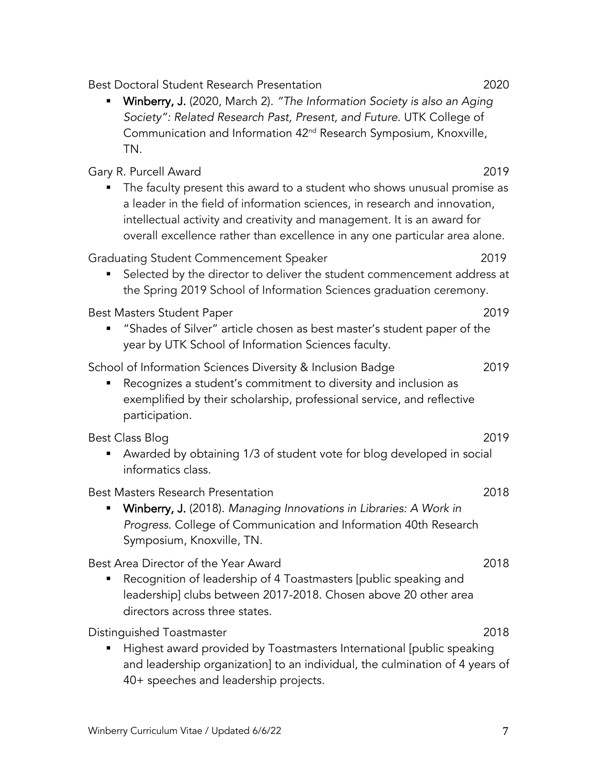Winberry Curriculum Vitae / Updated 6/6/22 7

|   | The faculty present this award to a student who shows unusual promise as<br>a leader in the field of information sciences, in research and innovation,<br>intellectual activity and creativity and management. It is an award for<br>overall excellence rather than excellence in any one particular area alone. |      |
|---|------------------------------------------------------------------------------------------------------------------------------------------------------------------------------------------------------------------------------------------------------------------------------------------------------------------|------|
|   | Graduating Student Commencement Speaker<br>Selected by the director to deliver the student commencement address at<br>the Spring 2019 School of Information Sciences graduation ceremony.                                                                                                                        | 2019 |
|   | Best Masters Student Paper<br>"Shades of Silver" article chosen as best master's student paper of the<br>year by UTK School of Information Sciences faculty.                                                                                                                                                     | 2019 |
|   | School of Information Sciences Diversity & Inclusion Badge<br>Recognizes a student's commitment to diversity and inclusion as<br>exemplified by their scholarship, professional service, and reflective<br>participation.                                                                                        | 2019 |
|   | Best Class Blog<br>Awarded by obtaining 1/3 of student vote for blog developed in social<br>informatics class.                                                                                                                                                                                                   | 2019 |
| Ξ | Best Masters Research Presentation<br>Winberry, J. (2018). Managing Innovations in Libraries: A Work in<br>Progress. College of Communication and Information 40th Research<br>Symposium, Knoxville, TN.                                                                                                         | 2018 |
|   | Best Area Director of the Year Award<br>Recognition of leadership of 4 Toastmasters [public speaking and<br>leadership] clubs between 2017-2018. Chosen above 20 other area<br>directors across three states.                                                                                                    | 2018 |
|   | Distinguished Toastmaster<br>Highest award provided by Toastmasters International [public speaking<br>and leadership organization] to an individual, the culmination of 4 years of<br>40+ speeches and leadership projects.                                                                                      | 2018 |

- TN. Gary R. Purcell Award 2019
- § Winberry, J. (2020, March 2). *"The Information Society is also an Aging Society": Related Research Past, Present, and Future.* UTK College of Communication and Information 42nd Research Symposium, Knoxville,

Best Doctoral Student Research Presentation 2020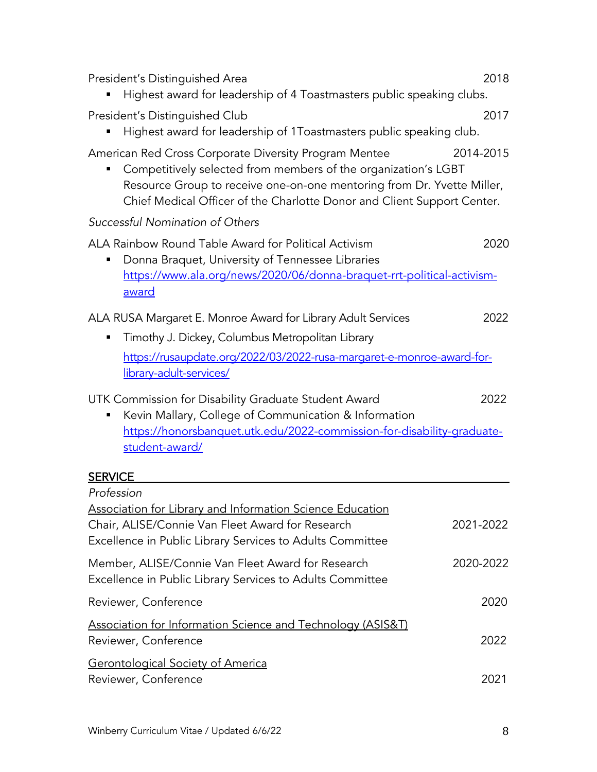| 2018<br>President's Distinguished Area<br>Highest award for leadership of 4 Toastmasters public speaking clubs.                                                                                                                                                                           |
|-------------------------------------------------------------------------------------------------------------------------------------------------------------------------------------------------------------------------------------------------------------------------------------------|
| President's Distinguished Club<br>2017<br>Highest award for leadership of 1Toastmasters public speaking club.                                                                                                                                                                             |
| American Red Cross Corporate Diversity Program Mentee<br>2014-2015<br>Competitively selected from members of the organization's LGBT<br>Resource Group to receive one-on-one mentoring from Dr. Yvette Miller,<br>Chief Medical Officer of the Charlotte Donor and Client Support Center. |
| Successful Nomination of Others                                                                                                                                                                                                                                                           |
| ALA Rainbow Round Table Award for Political Activism<br>2020<br>Donna Braquet, University of Tennessee Libraries<br>https://www.ala.org/news/2020/06/donna-braquet-rrt-political-activism-<br>award                                                                                       |
| 2022                                                                                                                                                                                                                                                                                      |
| ALA RUSA Margaret E. Monroe Award for Library Adult Services<br>Timothy J. Dickey, Columbus Metropolitan Library                                                                                                                                                                          |
| https://rusaupdate.org/2022/03/2022-rusa-margaret-e-monroe-award-for-<br>library-adult-services/                                                                                                                                                                                          |
| UTK Commission for Disability Graduate Student Award<br>2022<br>Kevin Mallary, College of Communication & Information<br>https://honorsbanquet.utk.edu/2022-commission-for-disability-graduate-<br>student-award/                                                                         |
| <b>SERVICE</b>                                                                                                                                                                                                                                                                            |
| Profession                                                                                                                                                                                                                                                                                |
| <b>Association for Library and Information Science Education</b><br>Chair, ALISE/Connie Van Fleet Award for Research<br>2021-2022<br>Excellence in Public Library Services to Adults Committee                                                                                            |
| Member, ALISE/Connie Van Fleet Award for Research<br>2020-2022<br>Excellence in Public Library Services to Adults Committee                                                                                                                                                               |
| Reviewer, Conference<br>2020                                                                                                                                                                                                                                                              |
| <b>Association for Information Science and Technology (ASIS&amp;T)</b><br>Reviewer, Conference<br>2022                                                                                                                                                                                    |
| <b>Gerontological Society of America</b><br>Reviewer, Conference<br>2021                                                                                                                                                                                                                  |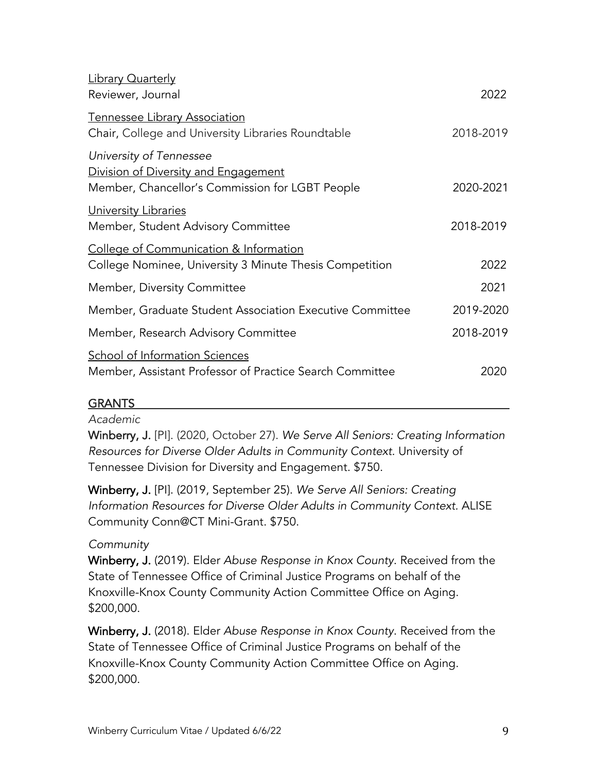| <b>Library Quarterly</b><br>Reviewer, Journal                                                                      | 2022      |
|--------------------------------------------------------------------------------------------------------------------|-----------|
| Tennessee Library Association<br>Chair, College and University Libraries Roundtable                                | 2018-2019 |
| University of Tennessee<br>Division of Diversity and Engagement<br>Member, Chancellor's Commission for LGBT People | 2020-2021 |
| University Libraries<br>Member, Student Advisory Committee                                                         | 2018-2019 |
| <b>College of Communication &amp; Information</b><br>College Nominee, University 3 Minute Thesis Competition       | 2022      |
| Member, Diversity Committee                                                                                        | 2021      |
| Member, Graduate Student Association Executive Committee                                                           | 2019-2020 |
| Member, Research Advisory Committee                                                                                | 2018-2019 |
| School of Information Sciences<br>Member, Assistant Professor of Practice Search Committee                         | 2020      |
|                                                                                                                    |           |

## GRANTS

## *Academic*

Winberry, J. [PI]. (2020, October 27). *We Serve All Seniors: Creating Information Resources for Diverse Older Adults in Community Context.* University of Tennessee Division for Diversity and Engagement. \$750.

Winberry, J. [PI]. (2019, September 25). *We Serve All Seniors: Creating Information Resources for Diverse Older Adults in Community Context.* ALISE Community Conn@CT Mini-Grant. \$750.

## *Community*

Winberry, J. (2019). Elder *Abuse Response in Knox County*. Received from the State of Tennessee Office of Criminal Justice Programs on behalf of the Knoxville-Knox County Community Action Committee Office on Aging. \$200,000.

Winberry, J. (2018). Elder *Abuse Response in Knox County*. Received from the State of Tennessee Office of Criminal Justice Programs on behalf of the Knoxville-Knox County Community Action Committee Office on Aging. \$200,000.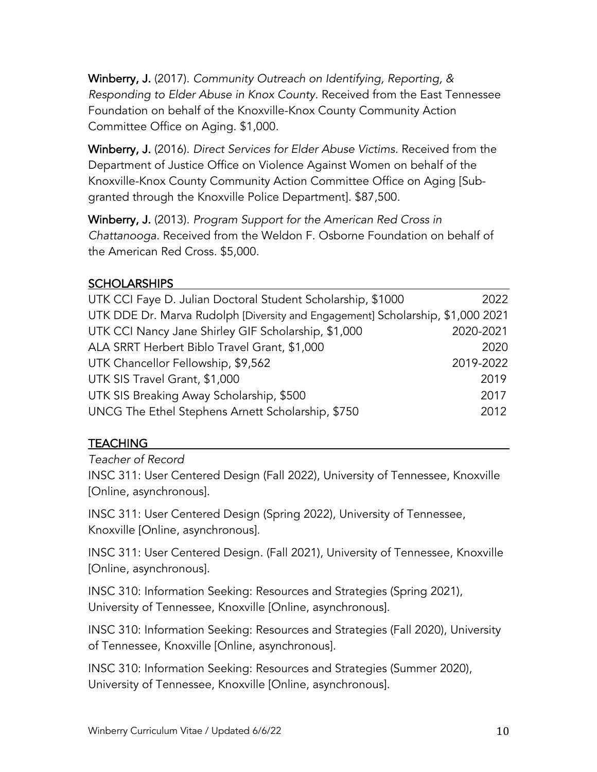Winberry, J. (2017). *Community Outreach on Identifying, Reporting, & Responding to Elder Abuse in Knox County.* Received from the East Tennessee Foundation on behalf of the Knoxville-Knox County Community Action Committee Office on Aging. \$1,000.

Winberry, J. (2016). *Direct Services for Elder Abuse Victims.* Received from the Department of Justice Office on Violence Against Women on behalf of the Knoxville-Knox County Community Action Committee Office on Aging [Subgranted through the Knoxville Police Department]. \$87,500.

Winberry, J. (2013). *Program Support for the American Red Cross in Chattanooga*. Received from the Weldon F. Osborne Foundation on behalf of the American Red Cross. \$5,000.

# **SCHOLARSHIPS**

| UTK CCI Faye D. Julian Doctoral Student Scholarship, \$1000                    | 2022      |
|--------------------------------------------------------------------------------|-----------|
| UTK DDE Dr. Marva Rudolph [Diversity and Engagement] Scholarship, \$1,000 2021 |           |
| UTK CCI Nancy Jane Shirley GIF Scholarship, \$1,000                            | 2020-2021 |
| ALA SRRT Herbert Biblo Travel Grant, \$1,000                                   | 2020      |
| UTK Chancellor Fellowship, \$9,562                                             | 2019-2022 |
| UTK SIS Travel Grant, \$1,000                                                  | 2019      |
| UTK SIS Breaking Away Scholarship, \$500                                       | 2017      |
| UNCG The Ethel Stephens Arnett Scholarship, \$750                              | 2012      |

# TEACHING

*Teacher of Record*

INSC 311: User Centered Design (Fall 2022), University of Tennessee, Knoxville [Online, asynchronous].

INSC 311: User Centered Design (Spring 2022), University of Tennessee, Knoxville [Online, asynchronous].

INSC 311: User Centered Design. (Fall 2021), University of Tennessee, Knoxville [Online, asynchronous].

INSC 310: Information Seeking: Resources and Strategies (Spring 2021), University of Tennessee, Knoxville [Online, asynchronous].

INSC 310: Information Seeking: Resources and Strategies (Fall 2020), University of Tennessee, Knoxville [Online, asynchronous].

INSC 310: Information Seeking: Resources and Strategies (Summer 2020), University of Tennessee, Knoxville [Online, asynchronous].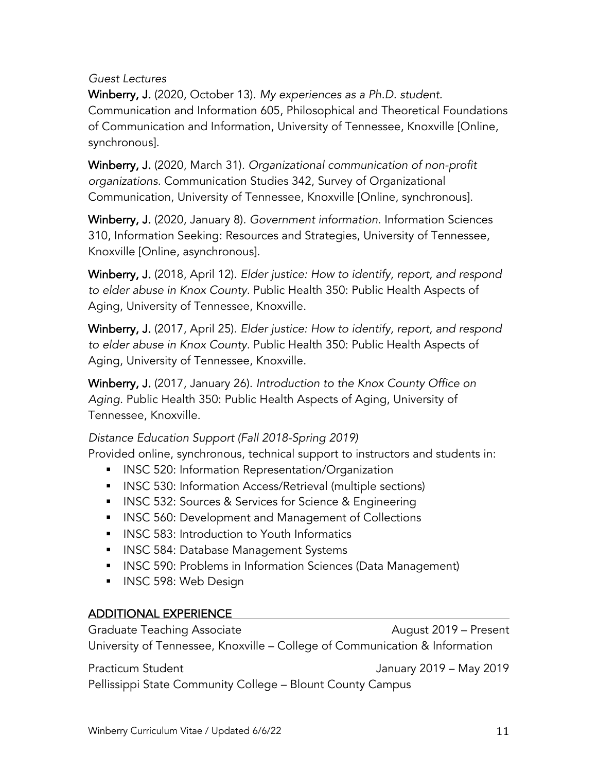## *Guest Lectures*

Winberry, J. (2020, October 13). *My experiences as a Ph.D. student.* Communication and Information 605, Philosophical and Theoretical Foundations of Communication and Information, University of Tennessee, Knoxville [Online, synchronous].

Winberry, J. (2020, March 31). *Organizational communication of non-profit organizations.* Communication Studies 342, Survey of Organizational Communication, University of Tennessee, Knoxville [Online, synchronous].

Winberry, J. (2020, January 8). *Government information*. Information Sciences 310, Information Seeking: Resources and Strategies, University of Tennessee, Knoxville [Online, asynchronous].

Winberry, J. (2018, April 12). *Elder justice: How to identify, report, and respond to elder abuse in Knox County.* Public Health 350: Public Health Aspects of Aging, University of Tennessee, Knoxville.

Winberry, J. (2017, April 25). *Elder justice: How to identify, report, and respond to elder abuse in Knox County.* Public Health 350: Public Health Aspects of Aging, University of Tennessee, Knoxville.

Winberry, J. (2017, January 26). *Introduction to the Knox County Office on Aging.* Public Health 350: Public Health Aspects of Aging, University of Tennessee, Knoxville.

*Distance Education Support (Fall 2018-Spring 2019)*

Provided online, synchronous, technical support to instructors and students in:

- **INSC 520: Information Representation/Organization**
- **INSC 530: Information Access/Retrieval (multiple sections)**
- INSC 532: Sources & Services for Science & Engineering
- INSC 560: Development and Management of Collections
- INSC 583: Introduction to Youth Informatics
- INSC 584: Database Management Systems
- § INSC 590: Problems in Information Sciences (Data Management)
- INSC 598: Web Design

## ADDITIONAL EXPERIENCE

Graduate Teaching Associate **August 2019** – Present University of Tennessee, Knoxville – College of Communication & Information

Practicum Student **Internal Contract Contract Contract Contract Contract Contract Contract Contract Contract Contract Contract Contract Contract Contract Contract Contract Contract Contract Contract Contract Contract Contr** Pellissippi State Community College – Blount County Campus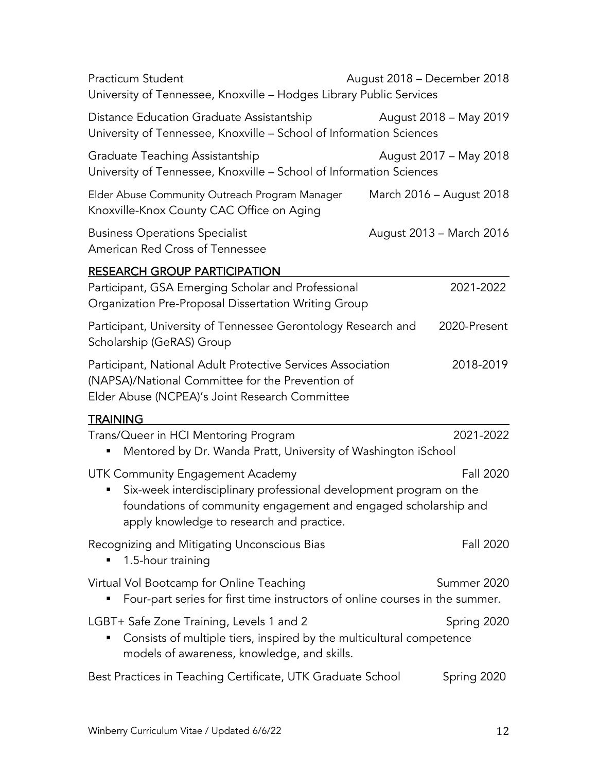| Practicum Student<br>University of Tennessee, Knoxville - Hodges Library Public Services                                                                                                                               | August 2018 – December 2018 |
|------------------------------------------------------------------------------------------------------------------------------------------------------------------------------------------------------------------------|-----------------------------|
| Distance Education Graduate Assistantship<br>University of Tennessee, Knoxville - School of Information Sciences                                                                                                       | August 2018 - May 2019      |
| Graduate Teaching Assistantship<br>University of Tennessee, Knoxville - School of Information Sciences                                                                                                                 | August 2017 - May 2018      |
| Elder Abuse Community Outreach Program Manager<br>Knoxville-Knox County CAC Office on Aging                                                                                                                            | March 2016 - August 2018    |
| <b>Business Operations Specialist</b><br>American Red Cross of Tennessee                                                                                                                                               | August 2013 – March 2016    |
| <b>RESEARCH GROUP PARTICIPATION</b>                                                                                                                                                                                    |                             |
| Participant, GSA Emerging Scholar and Professional<br>Organization Pre-Proposal Dissertation Writing Group                                                                                                             | 2021-2022                   |
| Participant, University of Tennessee Gerontology Research and<br>Scholarship (GeRAS) Group                                                                                                                             | 2020-Present                |
| Participant, National Adult Protective Services Association<br>(NAPSA)/National Committee for the Prevention of<br>Elder Abuse (NCPEA)'s Joint Research Committee                                                      | 2018-2019                   |
| <u>TRAINING</u>                                                                                                                                                                                                        |                             |
| Trans/Queer in HCI Mentoring Program<br>Mentored by Dr. Wanda Pratt, University of Washington iSchool                                                                                                                  | 2021-2022                   |
| UTK Community Engagement Academy<br>Six-week interdisciplinary professional development program on the<br>foundations of community engagement and engaged scholarship and<br>apply knowledge to research and practice. | Fall 2020                   |
| Recognizing and Mitigating Unconscious Bias<br>1.5-hour training                                                                                                                                                       | <b>Fall 2020</b>            |
| Virtual Vol Bootcamp for Online Teaching<br>Four-part series for first time instructors of online courses in the summer.                                                                                               | Summer 2020                 |
| LGBT+ Safe Zone Training, Levels 1 and 2<br>Consists of multiple tiers, inspired by the multicultural competence<br>models of awareness, knowledge, and skills.                                                        | Spring 2020                 |
| Best Practices in Teaching Certificate, UTK Graduate School                                                                                                                                                            | Spring 2020                 |